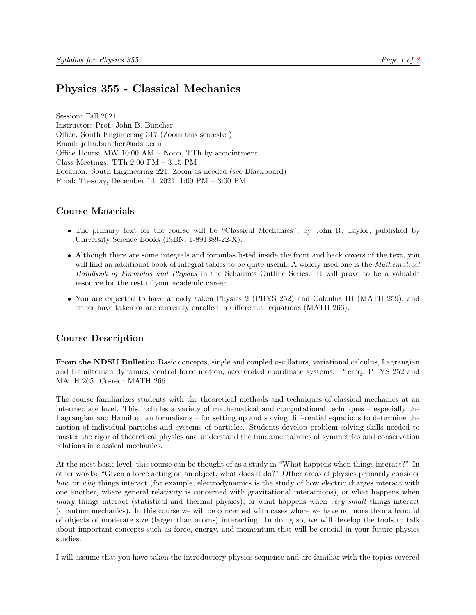# <span id="page-0-0"></span>Physics 355 - Classical Mechanics

Session: Fall 2021 Instructor: Prof. John B. Buncher Office: South Engineering 317 (Zoom this semester) Email: john.buncher@ndsu.edu Office Hours: MW 10:00 AM – Noon, TTh by appointment Class Meetings: TTh 2:00 PM – 3:15 PM Location: South Engineering 221, Zoom as needed (see Blackboard) Final: Tuesday, December 14, 2021, 1:00 PM – 3:00 PM

# Course Materials

- The primary text for the course will be "Classical Mechanics", by John R. Taylor, published by University Science Books (ISBN: 1-891389-22-X).
- Although there are some integrals and formulas listed inside the front and back covers of the text, you will find an additional book of integral tables to be quite useful. A widely used one is the *Mathematical* Handbook of Formulas and Physics in the Schaum's Outline Series. It will prove to be a valuable resource for the rest of your academic career.
- You are expected to have already taken Physics 2 (PHYS 252) and Calculus III (MATH 259), and either have taken or are currently enrolled in differential equations (MATH 266).

# Course Description

From the NDSU Bulletin: Basic concepts, single and coupled oscillators, variational calculus, Lagrangian and Hamiltonian dynamics, central force motion, accelerated coordinate systems. Prereq: PHYS 252 and MATH 265. Co-req: MATH 266.

The course familiarizes students with the theoretical methods and techniques of classical mechanics at an intermediate level. This includes a variety of mathematical and computational techniques – especially the Lagrangian and Hamiltonian formalisms – for setting up and solving differential equations to determine the motion of individual particles and systems of particles. Students develop problem-solving skills needed to master the rigor of theoretical physics and understand the fundamentalroles of symmetries and conservation relations in classical mechanics.

At the most basic level, this course can be thought of as a study in "What happens when things interact?" In other words: "Given a force acting on an object, what does it do?" Other areas of physics primarily consider how or why things interact (for example, electrodynamics is the study of how electric charges interact with one another, where general relativity is concerned with gravitational interactions), or what happens when many things interact (statistical and thermal physics), or what happens when very small things interact (quantum mechanics). In this course we will be concerned with cases where we have no more than a handful of objects of moderate size (larger than atoms) interacting. In doing so, we will develop the tools to talk about important concepts such as force, energy, and momentum that will be crucial in your future physics studies.

I will assume that you have taken the introductory physics sequence and are familiar with the topics covered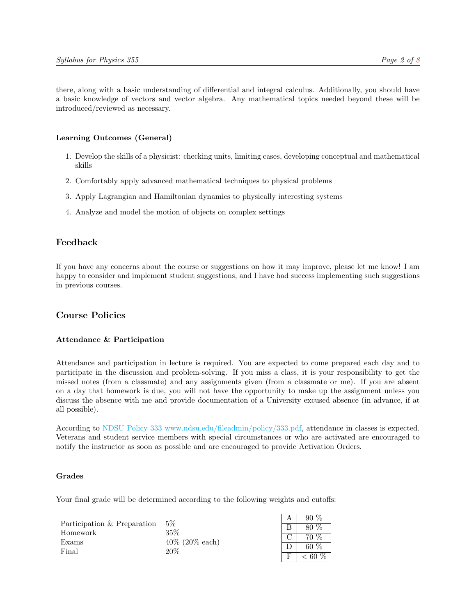there, along with a basic understanding of differential and integral calculus. Additionally, you should have a basic knowledge of vectors and vector algebra. Any mathematical topics needed beyond these will be introduced/reviewed as necessary.

#### Learning Outcomes (General)

- 1. Develop the skills of a physicist: checking units, limiting cases, developing conceptual and mathematical skills
- 2. Comfortably apply advanced mathematical techniques to physical problems
- 3. Apply Lagrangian and Hamiltonian dynamics to physically interesting systems
- 4. Analyze and model the motion of objects on complex settings

## Feedback

If you have any concerns about the course or suggestions on how it may improve, please let me know! I am happy to consider and implement student suggestions, and I have had success implementing such suggestions in previous courses.

# Course Policies

#### Attendance & Participation

Attendance and participation in lecture is required. You are expected to come prepared each day and to participate in the discussion and problem-solving. If you miss a class, it is your responsibility to get the missed notes (from a classmate) and any assignments given (from a classmate or me). If you are absent on a day that homework is due, you will not have the opportunity to make up the assignment unless you discuss the absence with me and provide documentation of a University excused absence (in advance, if at all possible).

According to [NDSU Policy 333](#page-0-0) [www.ndsu.edu/fileadmin/policy/333.pdf,](#page-0-0) attendance in classes is expected. Veterans and student service members with special circumstances or who are activated are encouraged to notify the instructor as soon as possible and are encouraged to provide Activation Orders.

#### Grades

Your final grade will be determined according to the following weights and cutoffs:

| Participation & Preparation | - 5%                     | 90        |
|-----------------------------|--------------------------|-----------|
|                             |                          | 80 %      |
| Homework                    | 35%                      | 70 %      |
| Exams<br>Final              | $40\%$ (20% each)<br>20% | 60 $%$    |
|                             |                          | : 60 $\%$ |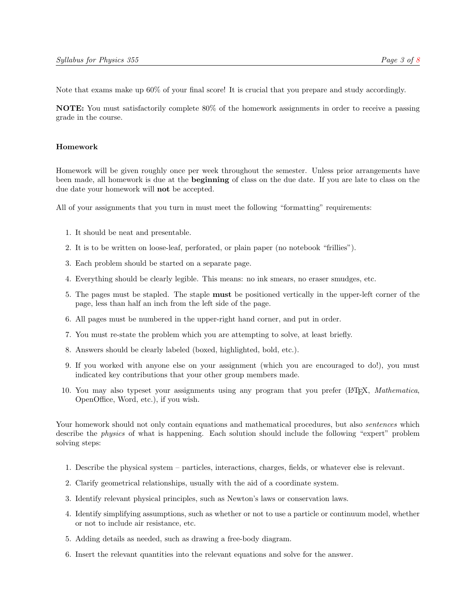Note that exams make up 60% of your final score! It is crucial that you prepare and study accordingly.

NOTE: You must satisfactorily complete 80% of the homework assignments in order to receive a passing grade in the course.

#### Homework

Homework will be given roughly once per week throughout the semester. Unless prior arrangements have been made, all homework is due at the **beginning** of class on the due date. If you are late to class on the due date your homework will not be accepted.

All of your assignments that you turn in must meet the following "formatting" requirements:

- 1. It should be neat and presentable.
- 2. It is to be written on loose-leaf, perforated, or plain paper (no notebook "frillies").
- 3. Each problem should be started on a separate page.
- 4. Everything should be clearly legible. This means: no ink smears, no eraser smudges, etc.
- 5. The pages must be stapled. The staple must be positioned vertically in the upper-left corner of the page, less than half an inch from the left side of the page.
- 6. All pages must be numbered in the upper-right hand corner, and put in order.
- 7. You must re-state the problem which you are attempting to solve, at least briefly.
- 8. Answers should be clearly labeled (boxed, highlighted, bold, etc.).
- 9. If you worked with anyone else on your assignment (which you are encouraged to do!), you must indicated key contributions that your other group members made.
- 10. You may also typeset your assignments using any program that you prefer (LATEX, Mathematica, OpenOffice, Word, etc.), if you wish.

Your homework should not only contain equations and mathematical procedures, but also *sentences* which describe the physics of what is happening. Each solution should include the following "expert" problem solving steps:

- 1. Describe the physical system particles, interactions, charges, fields, or whatever else is relevant.
- 2. Clarify geometrical relationships, usually with the aid of a coordinate system.
- 3. Identify relevant physical principles, such as Newton's laws or conservation laws.
- 4. Identify simplifying assumptions, such as whether or not to use a particle or continuum model, whether or not to include air resistance, etc.
- 5. Adding details as needed, such as drawing a free-body diagram.
- 6. Insert the relevant quantities into the relevant equations and solve for the answer.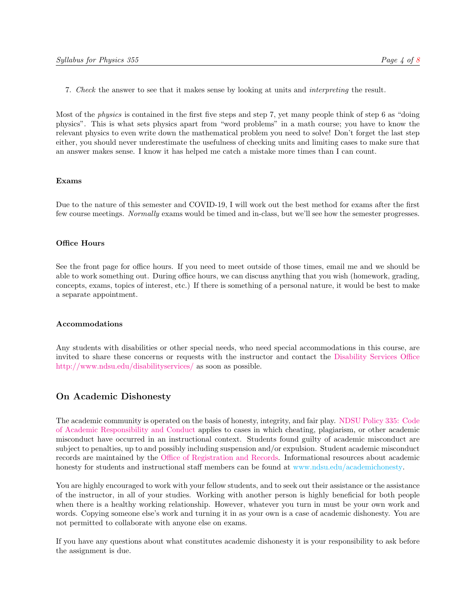7. Check the answer to see that it makes sense by looking at units and interpreting the result.

Most of the physics is contained in the first five steps and step 7, yet many people think of step 6 as "doing physics". This is what sets physics apart from "word problems" in a math course; you have to know the relevant physics to even write down the mathematical problem you need to solve! Don't forget the last step either, you should never underestimate the usefulness of checking units and limiting cases to make sure that an answer makes sense. I know it has helped me catch a mistake more times than I can count.

#### Exams

Due to the nature of this semester and COVID-19, I will work out the best method for exams after the first few course meetings. Normally exams would be timed and in-class, but we'll see how the semester progresses.

#### Office Hours

See the front page for office hours. If you need to meet outside of those times, email me and we should be able to work something out. During office hours, we can discuss anything that you wish (homework, grading, concepts, exams, topics of interest, etc.) If there is something of a personal nature, it would be best to make a separate appointment.

#### Accommodations

Any students with disabilities or other special needs, who need special accommodations in this course, are invited to share these concerns or requests with the instructor and contact the [Disability Services Office](http://www.ndsu.edu/disabilityservices) [http://www.ndsu.edu/disabilityservices/](http://www.ndsu.edu/disabilityservices) as soon as possible.

### On Academic Dishonesty

The academic community is operated on the basis of honesty, integrity, and fair play. [NDSU Policy 335:](http://www.ndsu.edu/fileadmin/policy/335.pdf) [Code](http://www.ndsu.edu/fileadmin/policy/335.pdf) [of Academic Responsibility and Conduct](http://www.ndsu.edu/fileadmin/policy/335.pdf) applies to cases in which cheating, plagiarism, or other academic misconduct have occurred in an instructional context. Students found guilty of academic misconduct are subject to penalties, up to and possibly including suspension and/or expulsion. Student academic misconduct records are maintained by the [Office of Registration and Records.](http://www.ndsu.edu/registrar) Informational resources about academic honesty for students and instructional staff members can be found at [www.ndsu.edu/academichonesty.](#page-0-0)

You are highly encouraged to work with your fellow students, and to seek out their assistance or the assistance of the instructor, in all of your studies. Working with another person is highly beneficial for both people when there is a healthy working relationship. However, whatever you turn in must be your own work and words. Copying someone else's work and turning it in as your own is a case of academic dishonesty. You are not permitted to collaborate with anyone else on exams.

If you have any questions about what constitutes academic dishonesty it is your responsibility to ask before the assignment is due.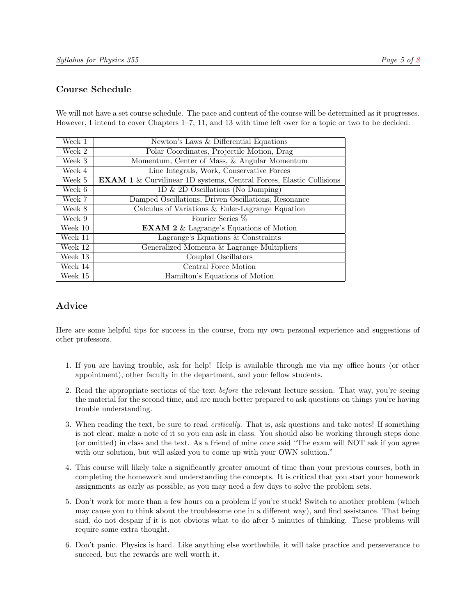# Course Schedule

We will not have a set course schedule. The pace and content of the course will be determined as it progresses. However, I intend to cover Chapters 1–7, 11, and 13 with time left over for a topic or two to be decided.

| Week 1  | Newton's Laws & Differential Equations                                     |
|---------|----------------------------------------------------------------------------|
| Week 2  | Polar Coordinates, Projectile Motion, Drag                                 |
| Week 3  | Momentum, Center of Mass, & Angular Momentum                               |
| Week 4  | Line Integrals, Work, Conservative Forces                                  |
| Week 5  | <b>EXAM 1</b> & Curvilinear 1D systems, Central Forces, Elastic Collisions |
| Week 6  | 1D $\&$ 2D Oscillations (No Damping)                                       |
| Week 7  | Damped Oscillations, Driven Oscillations, Resonance                        |
| Week 8  | Calculus of Variations & Euler-Lagrange Equation                           |
| Week 9  | Fourier Series %                                                           |
| Week 10 | <b>EXAM 2</b> $\&$ Lagrange's Equations of Motion                          |
| Week 11 | Lagrange's Equations $&$ Constraints                                       |
| Week 12 | Generalized Momenta & Lagrange Multipliers                                 |
| Week 13 | Coupled Oscillators                                                        |
| Week 14 | Central Force Motion                                                       |
| Week 15 | Hamilton's Equations of Motion                                             |

# Advice

Here are some helpful tips for success in the course, from my own personal experience and suggestions of other professors.

- 1. If you are having trouble, ask for help! Help is available through me via my office hours (or other appointment), other faculty in the department, and your fellow students.
- 2. Read the appropriate sections of the text before the relevant lecture session. That way, you're seeing the material for the second time, and are much better prepared to ask questions on things you're having trouble understanding.
- 3. When reading the text, be sure to read critically. That is, ask questions and take notes! If something is not clear, make a note of it so you can ask in class. You should also be working through steps done (or omitted) in class and the text. As a friend of mine once said "The exam will NOT ask if you agree with our solution, but will asked you to come up with your OWN solution."
- 4. This course will likely take a significantly greater amount of time than your previous courses, both in completing the homework and understanding the concepts. It is critical that you start your homework assignments as early as possible, as you may need a few days to solve the problem sets.
- 5. Don't work for more than a few hours on a problem if you're stuck! Switch to another problem (which may cause you to think about the troublesome one in a different way), and find assistance. That being said, do not despair if it is not obvious what to do after 5 minutes of thinking. These problems will require some extra thought.
- 6. Don't panic. Physics is hard. Like anything else worthwhile, it will take practice and perseverance to succeed, but the rewards are well worth it.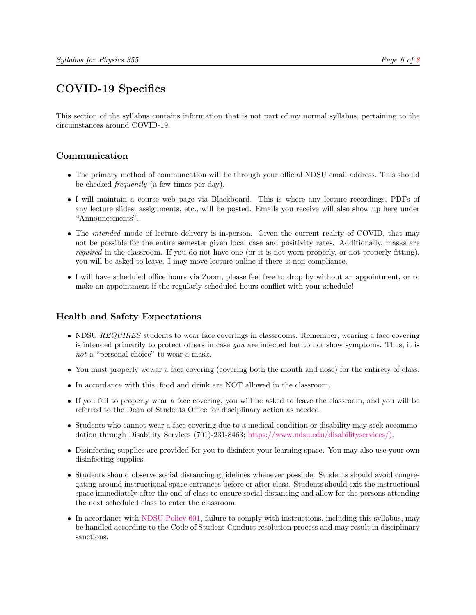# COVID-19 Specifics

This section of the syllabus contains information that is not part of my normal syllabus, pertaining to the circumstances around COVID-19.

# Communication

- The primary method of communcation will be through your official NDSU email address. This should be checked frequently (a few times per day).
- I will maintain a course web page via Blackboard. This is where any lecture recordings, PDFs of any lecture slides, assignments, etc., will be posted. Emails you receive will also show up here under "Announcements".
- The *intended* mode of lecture delivery is in-person. Given the current reality of COVID, that may not be possible for the entire semester given local case and positivity rates. Additionally, masks are required in the classroom. If you do not have one (or it is not worn properly, or not properly fitting), you will be asked to leave. I may move lecture online if there is non-compliance.
- I will have scheduled office hours via Zoom, please feel free to drop by without an appointment, or to make an appointment if the regularly-scheduled hours conflict with your schedule!

# Health and Safety Expectations

- NDSU REQUIRES students to wear face coverings in classrooms. Remember, wearing a face covering is intended primarily to protect others in case you are infected but to not show symptoms. Thus, it is not a "personal choice" to wear a mask.
- You must properly wewar a face covering (covering both the mouth and nose) for the entirety of class.
- In accordance with this, food and drink are NOT allowed in the classroom.
- If you fail to properly wear a face covering, you will be asked to leave the classroom, and you will be referred to the Dean of Students Office for disciplinary action as needed.
- Students who cannot wear a face covering due to a medical condition or disability may seek accommodation through Disability Services (701)-231-8463; [https://www.ndsu.edu/disabilityservices/\).](https://www.ndsu.edu/disabilityservices/)
- Disinfecting supplies are provided for you to disinfect your learning space. You may also use your own disinfecting supplies.
- Students should observe social distancing guidelines whenever possible. Students should avoid congregating around instructional space entrances before or after class. Students should exit the instructional space immediately after the end of class to ensure social distancing and allow for the persons attending the next scheduled class to enter the classroom.
- In accordance with [NDSU Policy 601,](https://www.ndsu.edu/fileadmin/policy/601.pdf) failure to comply with instructions, including this syllabus, may be handled according to the Code of Student Conduct resolution process and may result in disciplinary sanctions.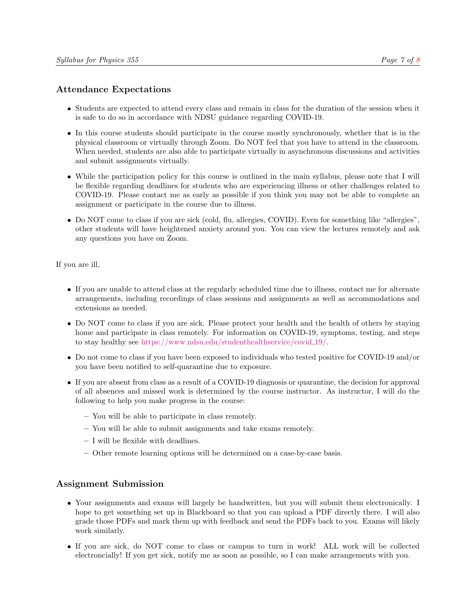# Attendance Expectations

- Students are expected to attend every class and remain in class for the duration of the session when it is safe to do so in accordance with NDSU guidance regarding COVID-19.
- In this course students should participate in the course mostly synchronously, whether that is in the physical classroom or virtually through Zoom. Do NOT feel that you have to attend in the classroom. When needed, students are also able to participate virtually in asynchronous discussions and activities and submit assignments virtually.
- While the participation policy for this course is outlined in the main syllabus, please note that I will be flexible regarding deadlines for students who are experiencing illness or other challenges related to COVID-19. Please contact me as early as possible if you think you may not be able to complete an assignment or participate in the course due to illness.
- Do NOT come to class if you are sick (cold, flu, allergies, COVID). Even for something like "allergies", other students will have heightened anxiety around you. You can view the lectures remotely and ask any questions you have on Zoom.

If you are ill,

- If you are unable to attend class at the regularly scheduled time due to illness, contact me for alternate arrangements, including recordings of class sessions and assignments as well as accommodations and extensions as needed.
- Do NOT come to class if you are sick. Please protect your health and the health of others by staying home and participate in class remotely. For information on COVID-19, symptoms, testing, and steps to stay healthy see [https://www.ndsu.edu/studenthealthservice/covid](https://www.ndsu.edu/studenthealthservice/covid_19/) 19/.
- Do not come to class if you have been exposed to individuals who tested positive for COVID-19 and/or you have been notified to self-quarantine due to exposure.
- If you are absent from class as a result of a COVID-19 diagnosis or quarantine, the decision for approval of all absences and missed work is determined by the course instructor. As instructor, I will do the following to help you make progress in the course:
	- You will be able to participate in class remotely.
	- You will be able to submit assignments and take exams remotely.
	- I will be flexible with deadlines.
	- Other remote learning options will be determined on a case-by-case basis.

### Assignment Submission

- Your assignments and exams will largely be handwritten, but you will submit them electronically. I hope to get something set up in Blackboard so that you can upload a PDF directly there. I will also grade those PDFs and mark them up with feedback and send the PDFs back to you. Exams will likely work similarly.
- If you are sick, do NOT come to class or campus to turn in work! ALL work will be collected electroncially! If you get sick, notify me as soon as possible, so I can make arrangements with you.